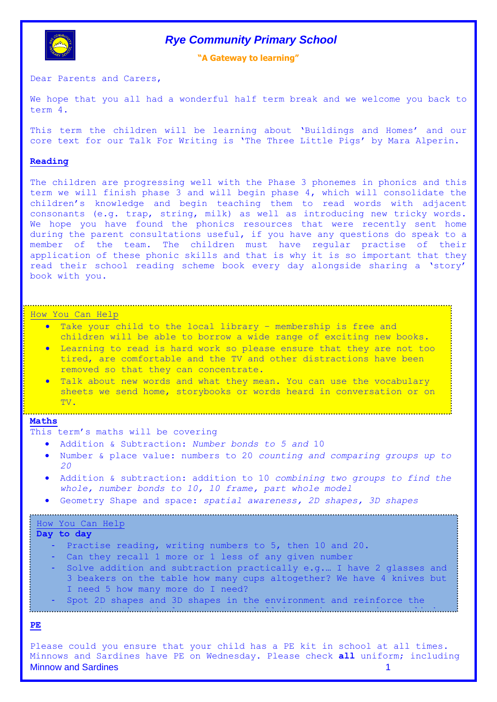

# *Rye Community Primary School*

**"A Gateway to learning"**

Dear Parents and Carers,

We hope that you all had a wonderful half term break and we welcome you back to term 4.

This term the children will be learning about 'Buildings and Homes' and our core text for our Talk For Writing is 'The Three Little Pigs' by Mara Alperin.

#### **Reading**

The children are progressing well with the Phase 3 phonemes in phonics and this term we will finish phase 3 and will begin phase 4, which will consolidate the children's knowledge and begin teaching them to read words with adjacent consonants (e.g. trap, string, milk) as well as introducing new tricky words. We hope you have found the phonics resources that were recently sent home during the parent consultations useful, if you have any questions do speak to a member of the team. The children must have regular practise of their application of these phonic skills and that is why it is so important that they read their school reading scheme book every day alongside sharing a 'story' book with you.

### How You Can Help

- Take your child to the local library membership is free and children will be able to borrow a wide range of exciting new books.
- Learning to read is hard work so please ensure that they are not too tired, are comfortable and the TV and other distractions have been removed so that they can concentrate.
- **Mathematics** we send home, storybooks or words heard in conversation or on Talk about new words and what they mean. You can use the vocabulary TV.

#### **Maths**

This term's maths will be covering at a local opticians.

- Addition & Subtraction: *Number bonds to 5 and* 10
- Number & place value: numbers to 20 *counting and comparing groups up to 20*

If you haven't done so recently, take your child for a vision check

- Addition & subtraction: addition to 10 *combining two groups to find the whole, number bonds to 10, 10 frame, part whole model*
- Geometry Shape and space: *spatial awareness, 2D shapes, 3D shapes*

# How You Can Help

- **Day to day**
	- Practise reading, writing numbers to 5, then 10 and 20.
	- Can they recall 1 more or 1 less of any given number
	- Solve addition and subtraction practically e.g.… I have 2 glasses and 3 beakers on the table how many cups altogether? We have 4 knives but I need 5 how many more do I need?
	- Spot 2D shapes and 3D shapes in the environment and reinforce the
	- correct mathematical names e.g. a ball is a sphere, can is a sphere, can is a sphere, can is a cylinder of the

## **PE**

Minnow and Sardines 1 Please could you ensure that your child has a PE kit in school at all times. Minnows and Sardines have PE on Wednesday. Please check **all** uniform; including